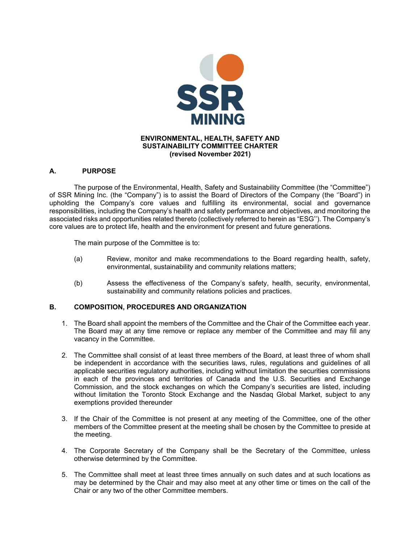

## **A. PURPOSE**

The purpose of the Environmental, Health, Safety and Sustainability Committee (the "Committee") of SSR Mining Inc. (the "Company") is to assist the Board of Directors of the Company (the ''Board") in upholding the Company's core values and fulfilling its environmental, social and governance responsibilities, including the Company's health and safety performance and objectives, and monitoring the associated risks and opportunities related thereto (collectively referred to herein as "ESG''). The Company's core values are to protect life, health and the environment for present and future generations.

The main purpose of the Committee is to:

- (a) Review, monitor and make recommendations to the Board regarding health, safety, environmental, sustainability and community relations matters;
- (b) Assess the effectiveness of the Company's safety, health, security, environmental, sustainability and community relations policies and practices.

## **B. COMPOSITION, PROCEDURES AND ORGANIZATION**

- 1. The Board shall appoint the members of the Committee and the Chair of the Committee each year. The Board may at any time remove or replace any member of the Committee and may fill any vacancy in the Committee.
- 2. The Committee shall consist of at least three members of the Board, at least three of whom shall be independent in accordance with the securities laws, rules, regulations and guidelines of all applicable securities regulatory authorities, including without limitation the securities commissions in each of the provinces and territories of Canada and the U.S. Securities and Exchange Commission, and the stock exchanges on which the Company's securities are listed, including without limitation the Toronto Stock Exchange and the Nasdaq Global Market, subject to any exemptions provided thereunder
- 3. If the Chair of the Committee is not present at any meeting of the Committee, one of the other members of the Committee present at the meeting shall be chosen by the Committee to preside at the meeting.
- 4. The Corporate Secretary of the Company shall be the Secretary of the Committee, unless otherwise determined by the Committee.
- 5. The Committee shall meet at least three times annually on such dates and at such locations as may be determined by the Chair and may also meet at any other time or times on the call of the Chair or any two of the other Committee members.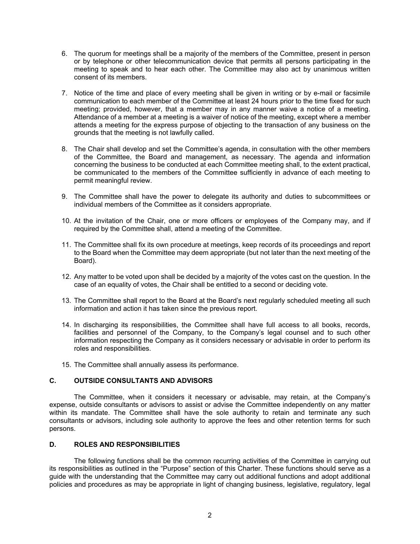- 6. The quorum for meetings shall be a majority of the members of the Committee, present in person or by telephone or other telecommunication device that permits all persons participating in the meeting to speak and to hear each other. The Committee may also act by unanimous written consent of its members.
- 7. Notice of the time and place of every meeting shall be given in writing or by e-mail or facsimile communication to each member of the Committee at least 24 hours prior to the time fixed for such meeting; provided, however, that a member may in any manner waive a notice of a meeting. Attendance of a member at a meeting is a waiver of notice of the meeting, except where a member attends a meeting for the express purpose of objecting to the transaction of any business on the grounds that the meeting is not lawfully called.
- 8. The Chair shall develop and set the Committee's agenda, in consultation with the other members of the Committee, the Board and management, as necessary. The agenda and information concerning the business to be conducted at each Committee meeting shall, to the extent practical, be communicated to the members of the Committee sufficiently in advance of each meeting to permit meaningful review.
- 9. The Committee shall have the power to delegate its authority and duties to subcommittees or individual members of the Committee as it considers appropriate.
- 10. At the invitation of the Chair, one or more officers or employees of the Company may, and if required by the Committee shall, attend a meeting of the Committee.
- 11. The Committee shall fix its own procedure at meetings, keep records of its proceedings and report to the Board when the Committee may deem appropriate (but not later than the next meeting of the Board).
- 12. Any matter to be voted upon shall be decided by a majority of the votes cast on the question. In the case of an equality of votes, the Chair shall be entitled to a second or deciding vote.
- 13. The Committee shall report to the Board at the Board's next regularly scheduled meeting all such information and action it has taken since the previous report.
- 14. In discharging its responsibilities, the Committee shall have full access to all books, records, facilities and personnel of the Company, to the Company's legal counsel and to such other information respecting the Company as it considers necessary or advisable in order to perform its roles and responsibilities.
- 15. The Committee shall annually assess its performance.

## **C. OUTSIDE CONSULTANTS AND ADVISORS**

The Committee, when it considers it necessary or advisable, may retain, at the Company's expense, outside consultants or advisors to assist or advise the Committee independently on any matter within its mandate. The Committee shall have the sole authority to retain and terminate any such consultants or advisors, including sole authority to approve the fees and other retention terms for such persons.

## **D. ROLES AND RESPONSIBILITIES**

The following functions shall be the common recurring activities of the Committee in carrying out its responsibilities as outlined in the "Purpose" section of this Charter. These functions should serve as a guide with the understanding that the Committee may carry out additional functions and adopt additional policies and procedures as may be appropriate in light of changing business, legislative, regulatory, legal